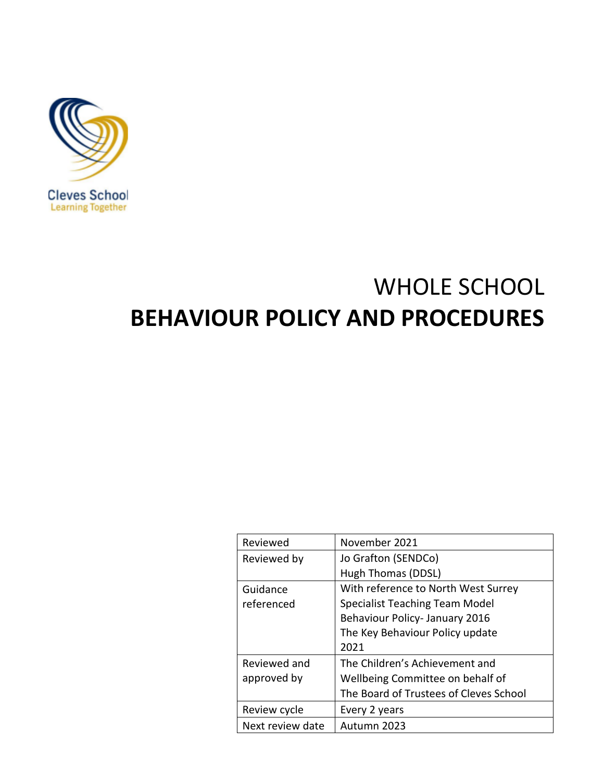

# WHOLE SCHOOL **BEHAVIOUR POLICY AND PROCEDURES**

| Reviewed         | November 2021                          |
|------------------|----------------------------------------|
| Reviewed by      | Jo Grafton (SENDCo)                    |
|                  | Hugh Thomas (DDSL)                     |
| Guidance         | With reference to North West Surrey    |
| referenced       | <b>Specialist Teaching Team Model</b>  |
|                  | Behaviour Policy-January 2016          |
|                  | The Key Behaviour Policy update        |
|                  | 2021                                   |
| Reviewed and     | The Children's Achievement and         |
| approved by      | Wellbeing Committee on behalf of       |
|                  | The Board of Trustees of Cleves School |
| Review cycle     | Every 2 years                          |
| Next review date | Autumn 2023                            |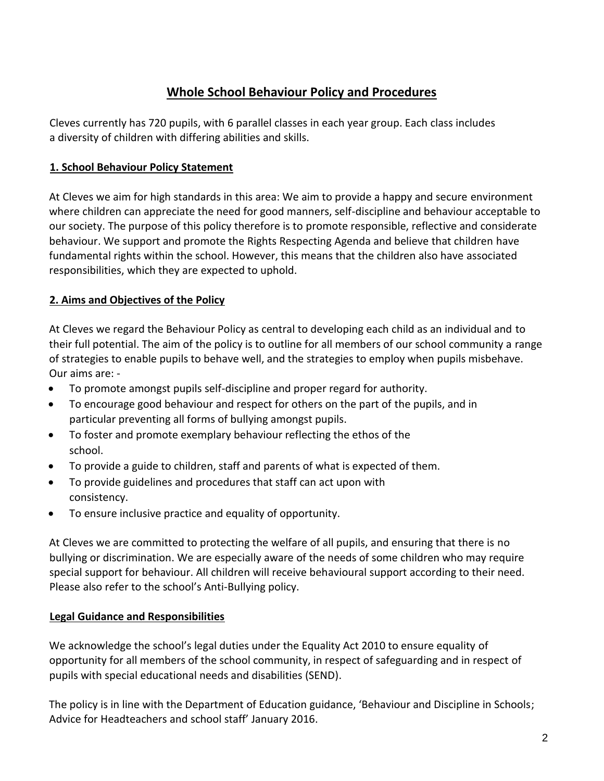## **Whole School Behaviour Policy and Procedures**

Cleves currently has 720 pupils, with 6 parallel classes in each year group. Each class includes a diversity of children with differing abilities and skills.

## **1. School Behaviour Policy Statement**

At Cleves we aim for high standards in this area: We aim to provide a happy and secure environment where children can appreciate the need for good manners, self-discipline and behaviour acceptable to our society. The purpose of this policy therefore is to promote responsible, reflective and considerate behaviour. We support and promote the Rights Respecting Agenda and believe that children have fundamental rights within the school. However, this means that the children also have associated responsibilities, which they are expected to uphold.

## **2. Aims and Objectives of the Policy**

At Cleves we regard the Behaviour Policy as central to developing each child as an individual and to their full potential. The aim of the policy is to outline for all members of our school community a range of strategies to enable pupils to behave well, and the strategies to employ when pupils misbehave. Our aims are: -

- To promote amongst pupils self-discipline and proper regard for authority.
- To encourage good behaviour and respect for others on the part of the pupils, and in particular preventing all forms of bullying amongst pupils.
- To foster and promote exemplary behaviour reflecting the ethos of the school.
- To provide a guide to children, staff and parents of what is expected of them.
- To provide guidelines and procedures that staff can act upon with consistency.
- To ensure inclusive practice and equality of opportunity.

At Cleves we are committed to protecting the welfare of all pupils, and ensuring that there is no bullying or discrimination. We are especially aware of the needs of some children who may require special support for behaviour. All children will receive behavioural support according to their need. Please also refer to the school's Anti-Bullying policy.

#### **Legal Guidance and Responsibilities**

We acknowledge the school's legal duties under the Equality Act 2010 to ensure equality of opportunity for all members of the school community, in respect of safeguarding and in respect of pupils with special educational needs and disabilities (SEND).

The policy is in line with the Department of Education guidance, 'Behaviour and Discipline in Schools; Advice for Headteachers and school staff' January 2016.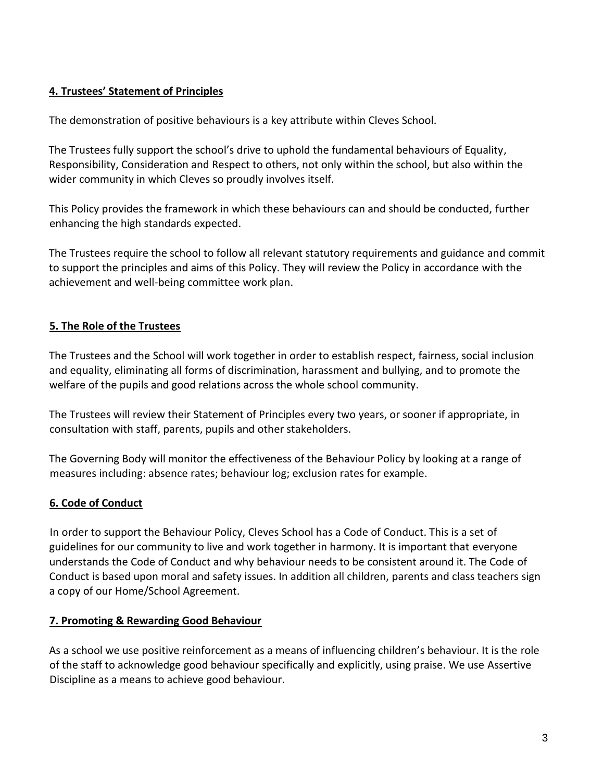#### **4. Trustees' Statement of Principles**

The demonstration of positive behaviours is a key attribute within Cleves School.

The Trustees fully support the school's drive to uphold the fundamental behaviours of Equality, Responsibility, Consideration and Respect to others, not only within the school, but also within the wider community in which Cleves so proudly involves itself.

This Policy provides the framework in which these behaviours can and should be conducted, further enhancing the high standards expected.

The Trustees require the school to follow all relevant statutory requirements and guidance and commit to support the principles and aims of this Policy. They will review the Policy in accordance with the achievement and well-being committee work plan.

## **5. The Role of the Trustees**

The Trustees and the School will work together in order to establish respect, fairness, social inclusion and equality, eliminating all forms of discrimination, harassment and bullying, and to promote the welfare of the pupils and good relations across the whole school community.

The Trustees will review their Statement of Principles every two years, or sooner if appropriate, in consultation with staff, parents, pupils and other stakeholders.

The Governing Body will monitor the effectiveness of the Behaviour Policy by looking at a range of measures including: absence rates; behaviour log; exclusion rates for example.

## **6. Code of Conduct**

In order to support the Behaviour Policy, Cleves School has a Code of Conduct. This is a set of guidelines for our community to live and work together in harmony. It is important that everyone understands the Code of Conduct and why behaviour needs to be consistent around it. The Code of Conduct is based upon moral and safety issues. In addition all children, parents and class teachers sign a copy of our Home/School Agreement.

#### **7. Promoting & Rewarding Good Behaviour**

As a school we use positive reinforcement as a means of influencing children's behaviour. It is the role of the staff to acknowledge good behaviour specifically and explicitly, using praise. We use Assertive Discipline as a means to achieve good behaviour.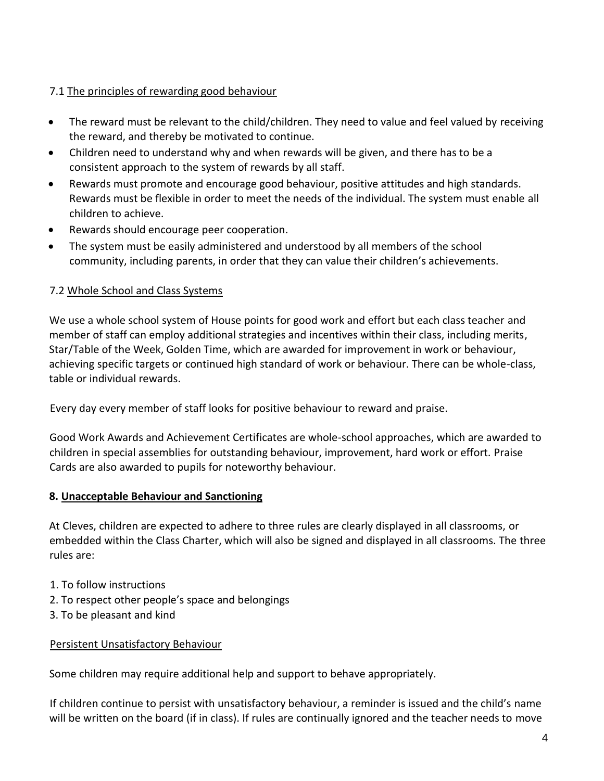## 7.1 The principles of rewarding good behaviour

- The reward must be relevant to the child/children. They need to value and feel valued by receiving the reward, and thereby be motivated to continue.
- Children need to understand why and when rewards will be given, and there has to be a consistent approach to the system of rewards by all staff.
- Rewards must promote and encourage good behaviour, positive attitudes and high standards. Rewards must be flexible in order to meet the needs of the individual. The system must enable all children to achieve.
- Rewards should encourage peer cooperation.
- The system must be easily administered and understood by all members of the school community, including parents, in order that they can value their children's achievements.

## 7.2 Whole School and Class Systems

We use a whole school system of House points for good work and effort but each class teacher and member of staff can employ additional strategies and incentives within their class, including merits, Star/Table of the Week, Golden Time, which are awarded for improvement in work or behaviour, achieving specific targets or continued high standard of work or behaviour. There can be whole-class, table or individual rewards.

Every day every member of staff looks for positive behaviour to reward and praise.

Good Work Awards and Achievement Certificates are whole-school approaches, which are awarded to children in special assemblies for outstanding behaviour, improvement, hard work or effort. Praise Cards are also awarded to pupils for noteworthy behaviour.

#### **8. Unacceptable Behaviour and Sanctioning**

At Cleves, children are expected to adhere to three rules are clearly displayed in all classrooms, or embedded within the Class Charter, which will also be signed and displayed in all classrooms. The three rules are:

- 1. To follow instructions
- 2. To respect other people's space and belongings
- 3. To be pleasant and kind

#### Persistent Unsatisfactory Behaviour

Some children may require additional help and support to behave appropriately.

If children continue to persist with unsatisfactory behaviour, a reminder is issued and the child's name will be written on the board (if in class). If rules are continually ignored and the teacher needs to move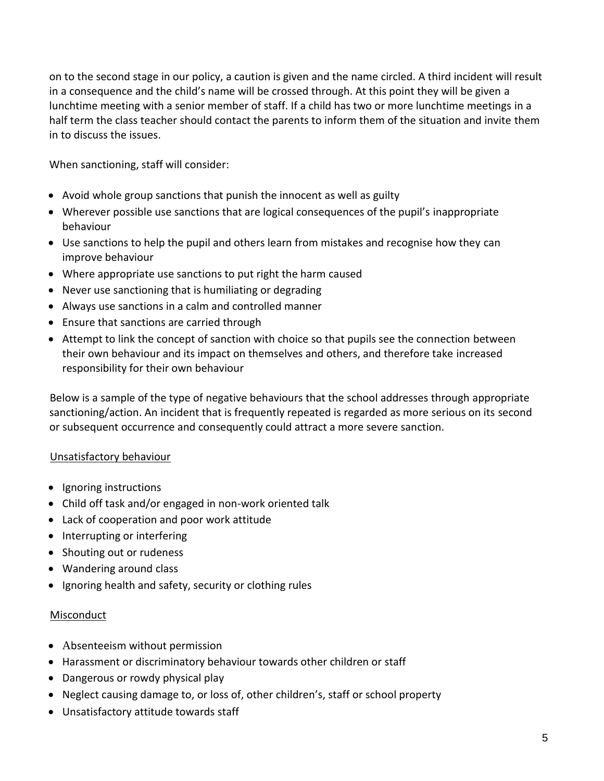on to the second stage in our policy, a caution is given and the name circled. A third incident will result in a consequence and the child's name will be crossed through. At this point they will be given a lunchtime meeting with a senior member of staff. If a child has two or more lunchtime meetings in a half term the class teacher should contact the parents to inform them of the situation and invite them in to discuss the issues.

When sanctioning, staff will consider:

- Avoid whole group sanctions that punish the innocent as well as guilty
- Wherever possible use sanctions that are logical consequences of the pupil's inappropriate behaviour
- Use sanctions to help the pupil and others learn from mistakes and recognise how they can improve behaviour
- Where appropriate use sanctions to put right the harm caused
- Never use sanctioning that is humiliating or degrading
- Always use sanctions in a calm and controlled manner
- Ensure that sanctions are carried through
- Attempt to link the concept of sanction with choice so that pupils see the connection between their own behaviour and its impact on themselves and others, and therefore take increased responsibility for their own behaviour

Below is a sample of the type of negative behaviours that the school addresses through appropriate sanctioning/action. An incident that is frequently repeated is regarded as more serious on its second or subsequent occurrence and consequently could attract a more severe sanction.

#### Unsatisfactory behaviour

- Ignoring instructions
- Child off task and/or engaged in non-work oriented talk
- Lack of cooperation and poor work attitude
- Interrupting or interfering
- Shouting out or rudeness
- Wandering around class
- Ignoring health and safety, security or clothing rules

#### Misconduct

- Absenteeism without permission
- Harassment or discriminatory behaviour towards other children or staff
- Dangerous or rowdy physical play
- Neglect causing damage to, or loss of, other children's, staff or school property
- Unsatisfactory attitude towards staff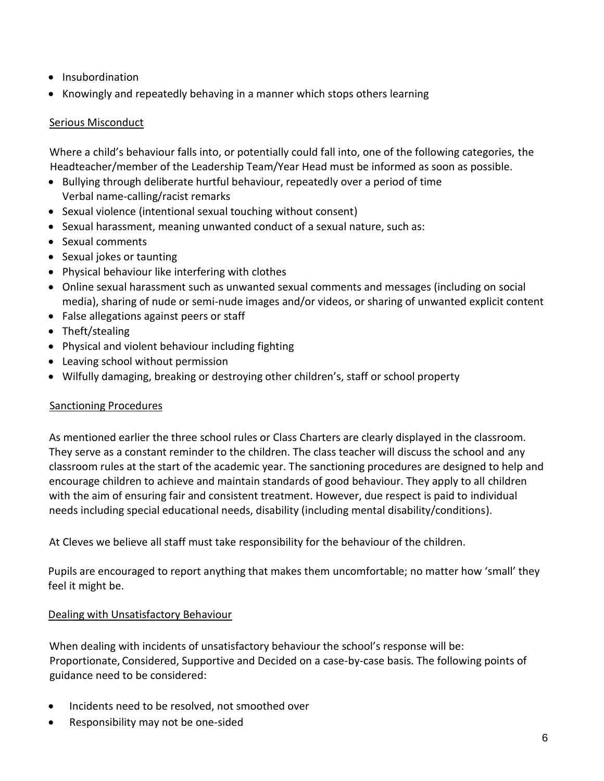- Insubordination
- Knowingly and repeatedly behaving in a manner which stops others learning

#### Serious Misconduct

Where a child's behaviour falls into, or potentially could fall into, one of the following categories, the Headteacher/member of the Leadership Team/Year Head must be informed as soon as possible.

- Bullying through deliberate hurtful behaviour, repeatedly over a period of time Verbal name-calling/racist remarks
- Sexual violence (intentional sexual touching without consent)
- Sexual harassment, meaning unwanted conduct of a sexual nature, such as:
- Sexual comments
- Sexual jokes or taunting
- Physical behaviour like interfering with clothes
- Online sexual harassment such as unwanted sexual comments and messages (including on social media), sharing of nude or semi-nude images and/or videos, or sharing of unwanted explicit content
- False allegations against peers or staff
- Theft/stealing
- Physical and violent behaviour including fighting
- Leaving school without permission
- Wilfully damaging, breaking or destroying other children's, staff or school property

#### Sanctioning Procedures

As mentioned earlier the three school rules or Class Charters are clearly displayed in the classroom. They serve as a constant reminder to the children. The class teacher will discuss the school and any classroom rules at the start of the academic year. The sanctioning procedures are designed to help and encourage children to achieve and maintain standards of good behaviour. They apply to all children with the aim of ensuring fair and consistent treatment. However, due respect is paid to individual needs including special educational needs, disability (including mental disability/conditions).

At Cleves we believe all staff must take responsibility for the behaviour of the children.

Pupils are encouraged to report anything that makes them uncomfortable; no matter how 'small' they feel it might be.

#### Dealing with Unsatisfactory Behaviour

When dealing with incidents of unsatisfactory behaviour the school's response will be: Proportionate, Considered, Supportive and Decided on a case-by-case basis. The following points of guidance need to be considered:

- Incidents need to be resolved, not smoothed over
- Responsibility may not be one-sided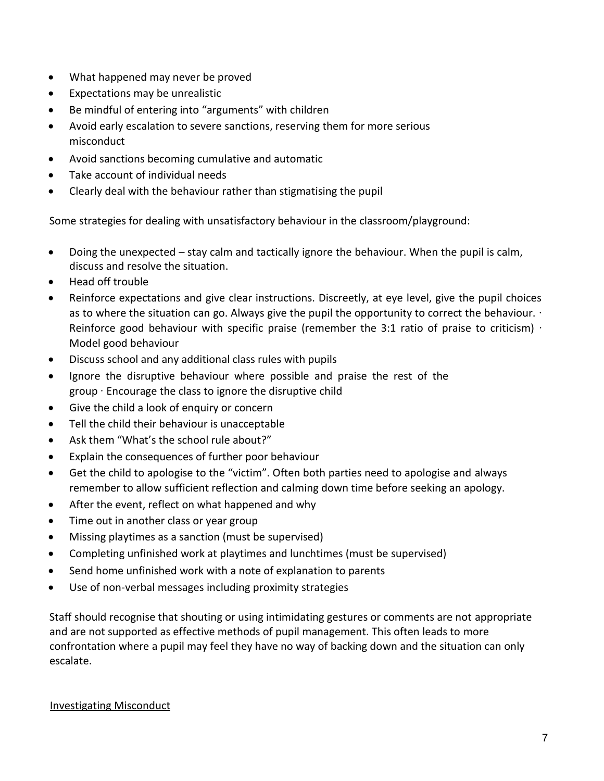- What happened may never be proved
- Expectations may be unrealistic
- Be mindful of entering into "arguments" with children
- Avoid early escalation to severe sanctions, reserving them for more serious misconduct
- Avoid sanctions becoming cumulative and automatic
- Take account of individual needs
- Clearly deal with the behaviour rather than stigmatising the pupil

Some strategies for dealing with unsatisfactory behaviour in the classroom/playground:

- Doing the unexpected stay calm and tactically ignore the behaviour. When the pupil is calm, discuss and resolve the situation.
- Head off trouble
- Reinforce expectations and give clear instructions. Discreetly, at eye level, give the pupil choices as to where the situation can go. Always give the pupil the opportunity to correct the behaviour. ∙ Reinforce good behaviour with specific praise (remember the 3:1 ratio of praise to criticism) · Model good behaviour
- Discuss school and any additional class rules with pupils
- Ignore the disruptive behaviour where possible and praise the rest of the group ∙ Encourage the class to ignore the disruptive child
- Give the child a look of enquiry or concern
- Tell the child their behaviour is unacceptable
- Ask them "What's the school rule about?"
- Explain the consequences of further poor behaviour
- Get the child to apologise to the "victim". Often both parties need to apologise and always remember to allow sufficient reflection and calming down time before seeking an apology.
- After the event, reflect on what happened and why
- Time out in another class or year group
- Missing playtimes as a sanction (must be supervised)
- Completing unfinished work at playtimes and lunchtimes (must be supervised)
- Send home unfinished work with a note of explanation to parents
- Use of non-verbal messages including proximity strategies

Staff should recognise that shouting or using intimidating gestures or comments are not appropriate and are not supported as effective methods of pupil management. This often leads to more confrontation where a pupil may feel they have no way of backing down and the situation can only escalate.

#### Investigating Misconduct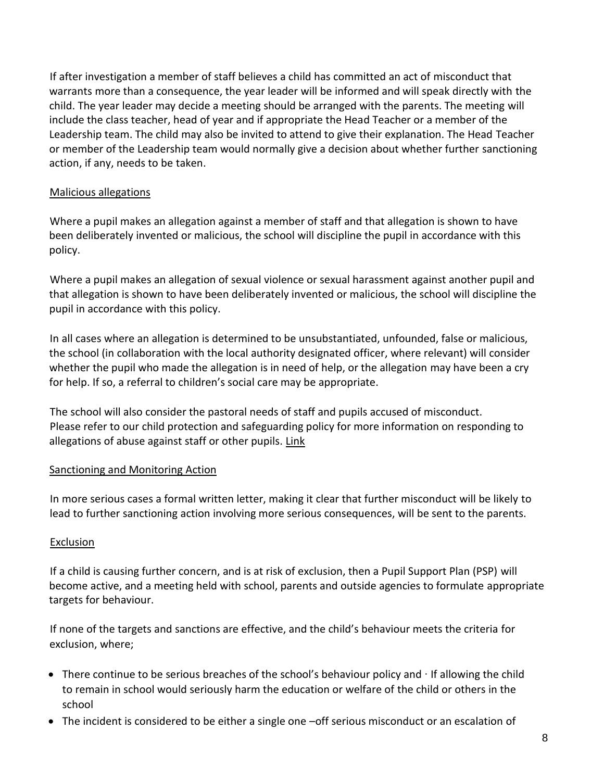If after investigation a member of staff believes a child has committed an act of misconduct that warrants more than a consequence, the year leader will be informed and will speak directly with the child. The year leader may decide a meeting should be arranged with the parents. The meeting will include the class teacher, head of year and if appropriate the Head Teacher or a member of the Leadership team. The child may also be invited to attend to give their explanation. The Head Teacher or member of the Leadership team would normally give a decision about whether further sanctioning action, if any, needs to be taken.

#### Malicious allegations

Where a pupil makes an allegation against a member of staff and that allegation is shown to have been deliberately invented or malicious, the school will discipline the pupil in accordance with this policy.

Where a pupil makes an allegation of sexual violence or sexual harassment against another pupil and that allegation is shown to have been deliberately invented or malicious, the school will discipline the pupil in accordance with this policy.

In all cases where an allegation is determined to be unsubstantiated, unfounded, false or malicious, the school (in collaboration with the local authority designated officer, where relevant) will consider whether the pupil who made the allegation is in need of help, or the allegation may have been a cry for help. If so, a referral to children's social care may be appropriate.

The school will also consider the pastoral needs of staff and pupils accused of misconduct. Please refer to our child protection and safeguarding policy for more information on responding to allegations of abuse against staff or other pupils. [Link](https://drive.google.com/drive/folders/1aGs0zk2KqgooQCliu8hpMnJRfph2YB1z)

#### Sanctioning and Monitoring Action

In more serious cases a formal written letter, making it clear that further misconduct will be likely to lead to further sanctioning action involving more serious consequences, will be sent to the parents.

#### **Exclusion**

If a child is causing further concern, and is at risk of exclusion, then a Pupil Support Plan (PSP) will become active, and a meeting held with school, parents and outside agencies to formulate appropriate targets for behaviour.

If none of the targets and sanctions are effective, and the child's behaviour meets the criteria for exclusion, where;

- There continue to be serious breaches of the school's behaviour policy and ∙ If allowing the child to remain in school would seriously harm the education or welfare of the child or others in the school
- The incident is considered to be either a single one –off serious misconduct or an escalation of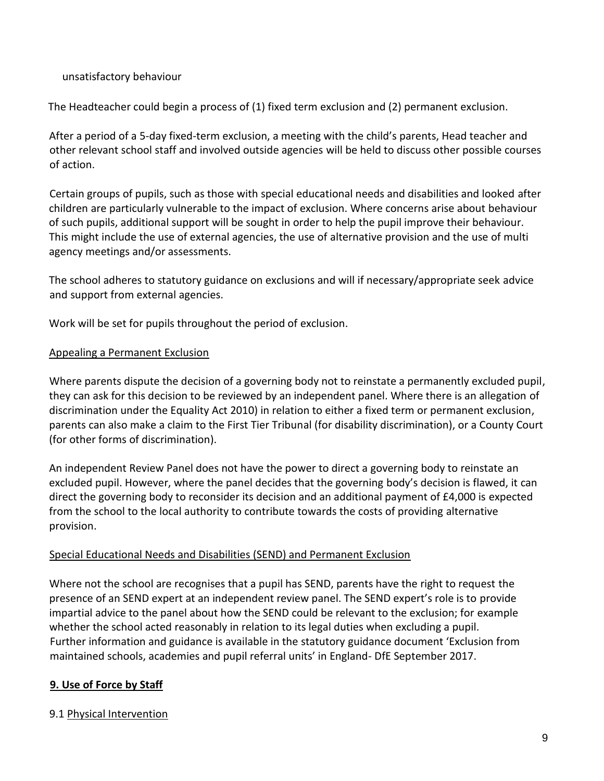#### unsatisfactory behaviour

The Headteacher could begin a process of (1) fixed term exclusion and (2) permanent exclusion.

After a period of a 5-day fixed-term exclusion, a meeting with the child's parents, Head teacher and other relevant school staff and involved outside agencies will be held to discuss other possible courses of action.

Certain groups of pupils, such as those with special educational needs and disabilities and looked after children are particularly vulnerable to the impact of exclusion. Where concerns arise about behaviour of such pupils, additional support will be sought in order to help the pupil improve their behaviour. This might include the use of external agencies, the use of alternative provision and the use of multi agency meetings and/or assessments.

The school adheres to statutory guidance on exclusions and will if necessary/appropriate seek advice and support from external agencies.

Work will be set for pupils throughout the period of exclusion.

#### Appealing a Permanent Exclusion

Where parents dispute the decision of a governing body not to reinstate a permanently excluded pupil, they can ask for this decision to be reviewed by an independent panel. Where there is an allegation of discrimination under the Equality Act 2010) in relation to either a fixed term or permanent exclusion, parents can also make a claim to the First Tier Tribunal (for disability discrimination), or a County Court (for other forms of discrimination).

An independent Review Panel does not have the power to direct a governing body to reinstate an excluded pupil. However, where the panel decides that the governing body's decision is flawed, it can direct the governing body to reconsider its decision and an additional payment of £4,000 is expected from the school to the local authority to contribute towards the costs of providing alternative provision.

#### Special Educational Needs and Disabilities (SEND) and Permanent Exclusion

Where not the school are recognises that a pupil has SEND, parents have the right to request the presence of an SEND expert at an independent review panel. The SEND expert's role is to provide impartial advice to the panel about how the SEND could be relevant to the exclusion; for example whether the school acted reasonably in relation to its legal duties when excluding a pupil. Further information and guidance is available in the statutory guidance document 'Exclusion from maintained schools, academies and pupil referral units' in England- DfE September 2017.

#### **9. Use of Force by Staff**

#### 9.1 Physical Intervention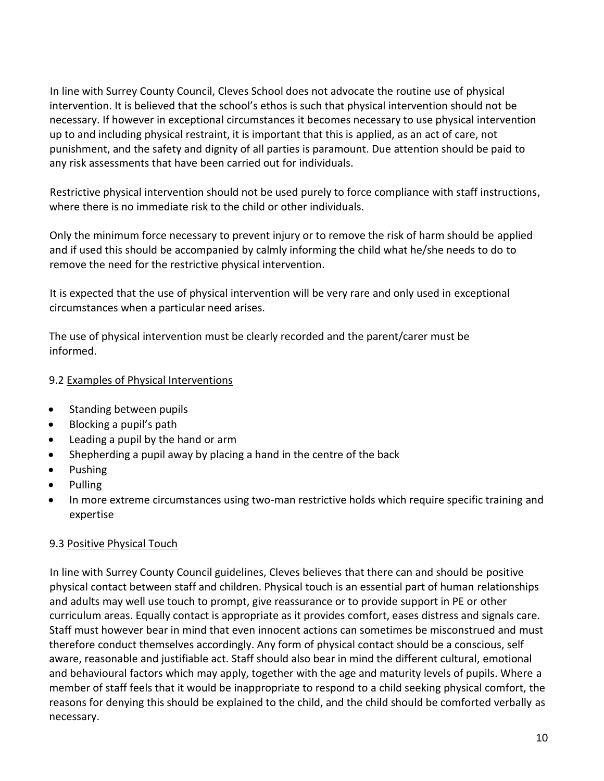In line with Surrey County Council, Cleves School does not advocate the routine use of physical intervention. It is believed that the school's ethos is such that physical intervention should not be necessary. If however in exceptional circumstances it becomes necessary to use physical intervention up to and including physical restraint, it is important that this is applied, as an act of care, not punishment, and the safety and dignity of all parties is paramount. Due attention should be paid to any risk assessments that have been carried out for individuals.

Restrictive physical intervention should not be used purely to force compliance with staff instructions, where there is no immediate risk to the child or other individuals.

Only the minimum force necessary to prevent injury or to remove the risk of harm should be applied and if used this should be accompanied by calmly informing the child what he/she needs to do to remove the need for the restrictive physical intervention.

It is expected that the use of physical intervention will be very rare and only used in exceptional circumstances when a particular need arises.

The use of physical intervention must be clearly recorded and the parent/carer must be informed.

## 9.2 Examples of Physical Interventions

- Standing between pupils
- Blocking a pupil's path
- Leading a pupil by the hand or arm
- Shepherding a pupil away by placing a hand in the centre of the back
- Pushing
- Pulling
- In more extreme circumstances using two-man restrictive holds which require specific training and expertise

## 9.3 Positive Physical Touch

In line with Surrey County Council guidelines, Cleves believes that there can and should be positive physical contact between staff and children. Physical touch is an essential part of human relationships and adults may well use touch to prompt, give reassurance or to provide support in PE or other curriculum areas. Equally contact is appropriate as it provides comfort, eases distress and signals care. Staff must however bear in mind that even innocent actions can sometimes be misconstrued and must therefore conduct themselves accordingly. Any form of physical contact should be a conscious, self aware, reasonable and justifiable act. Staff should also bear in mind the different cultural, emotional and behavioural factors which may apply, together with the age and maturity levels of pupils. Where a member of staff feels that it would be inappropriate to respond to a child seeking physical comfort, the reasons for denying this should be explained to the child, and the child should be comforted verbally as necessary.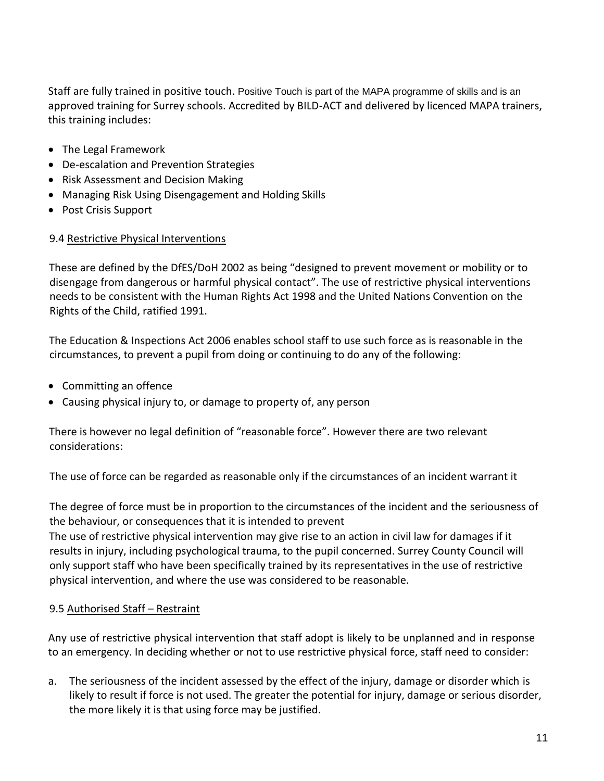Staff are fully trained in positive touch. Positive Touch is part of the MAPA programme of skills and is an approved training for Surrey schools. Accredited by BILD-ACT and delivered by licenced MAPA trainers, this training includes:

- The Legal Framework
- De-escalation and Prevention Strategies
- Risk Assessment and Decision Making
- Managing Risk Using Disengagement and Holding Skills
- Post Crisis Support

#### 9.4 Restrictive Physical Interventions

These are defined by the DfES/DoH 2002 as being "designed to prevent movement or mobility or to disengage from dangerous or harmful physical contact". The use of restrictive physical interventions needs to be consistent with the Human Rights Act 1998 and the United Nations Convention on the Rights of the Child, ratified 1991.

The Education & Inspections Act 2006 enables school staff to use such force as is reasonable in the circumstances, to prevent a pupil from doing or continuing to do any of the following:

- Committing an offence
- Causing physical injury to, or damage to property of, any person

There is however no legal definition of "reasonable force". However there are two relevant considerations:

The use of force can be regarded as reasonable only if the circumstances of an incident warrant it

The degree of force must be in proportion to the circumstances of the incident and the seriousness of the behaviour, or consequences that it is intended to prevent

The use of restrictive physical intervention may give rise to an action in civil law for damages if it results in injury, including psychological trauma, to the pupil concerned. Surrey County Council will only support staff who have been specifically trained by its representatives in the use of restrictive physical intervention, and where the use was considered to be reasonable.

#### 9.5 Authorised Staff – Restraint

Any use of restrictive physical intervention that staff adopt is likely to be unplanned and in response to an emergency. In deciding whether or not to use restrictive physical force, staff need to consider:

a. The seriousness of the incident assessed by the effect of the injury, damage or disorder which is likely to result if force is not used. The greater the potential for injury, damage or serious disorder, the more likely it is that using force may be justified.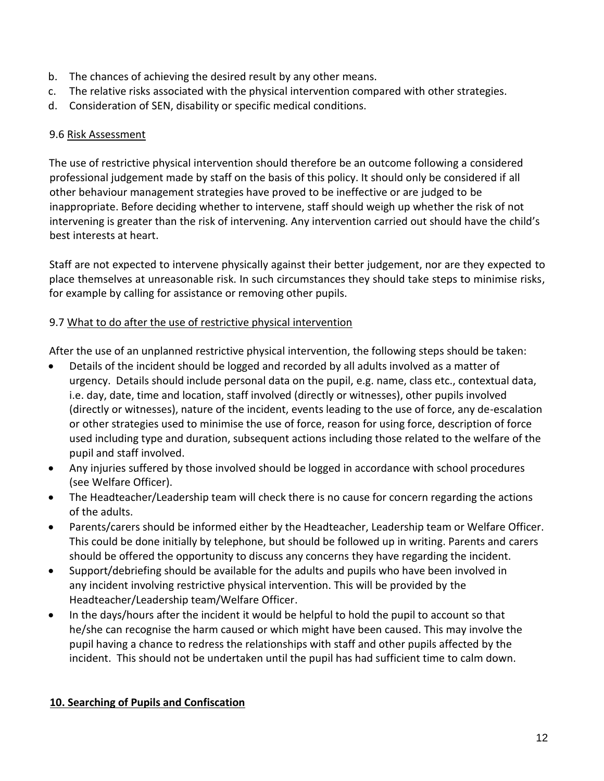- b. The chances of achieving the desired result by any other means.
- c. The relative risks associated with the physical intervention compared with other strategies.
- d. Consideration of SEN, disability or specific medical conditions.

## 9.6 Risk Assessment

The use of restrictive physical intervention should therefore be an outcome following a considered professional judgement made by staff on the basis of this policy. It should only be considered if all other behaviour management strategies have proved to be ineffective or are judged to be inappropriate. Before deciding whether to intervene, staff should weigh up whether the risk of not intervening is greater than the risk of intervening. Any intervention carried out should have the child's best interests at heart.

Staff are not expected to intervene physically against their better judgement, nor are they expected to place themselves at unreasonable risk. In such circumstances they should take steps to minimise risks, for example by calling for assistance or removing other pupils.

## 9.7 What to do after the use of restrictive physical intervention

After the use of an unplanned restrictive physical intervention, the following steps should be taken:

- Details of the incident should be logged and recorded by all adults involved as a matter of urgency. Details should include personal data on the pupil, e.g. name, class etc., contextual data, i.e. day, date, time and location, staff involved (directly or witnesses), other pupils involved (directly or witnesses), nature of the incident, events leading to the use of force, any de-escalation or other strategies used to minimise the use of force, reason for using force, description of force used including type and duration, subsequent actions including those related to the welfare of the pupil and staff involved.
- Any injuries suffered by those involved should be logged in accordance with school procedures (see Welfare Officer).
- The Headteacher/Leadership team will check there is no cause for concern regarding the actions of the adults.
- Parents/carers should be informed either by the Headteacher, Leadership team or Welfare Officer. This could be done initially by telephone, but should be followed up in writing. Parents and carers should be offered the opportunity to discuss any concerns they have regarding the incident.
- Support/debriefing should be available for the adults and pupils who have been involved in any incident involving restrictive physical intervention. This will be provided by the Headteacher/Leadership team/Welfare Officer.
- In the days/hours after the incident it would be helpful to hold the pupil to account so that he/she can recognise the harm caused or which might have been caused. This may involve the pupil having a chance to redress the relationships with staff and other pupils affected by the incident. This should not be undertaken until the pupil has had sufficient time to calm down.

## **10. Searching of Pupils and Confiscation**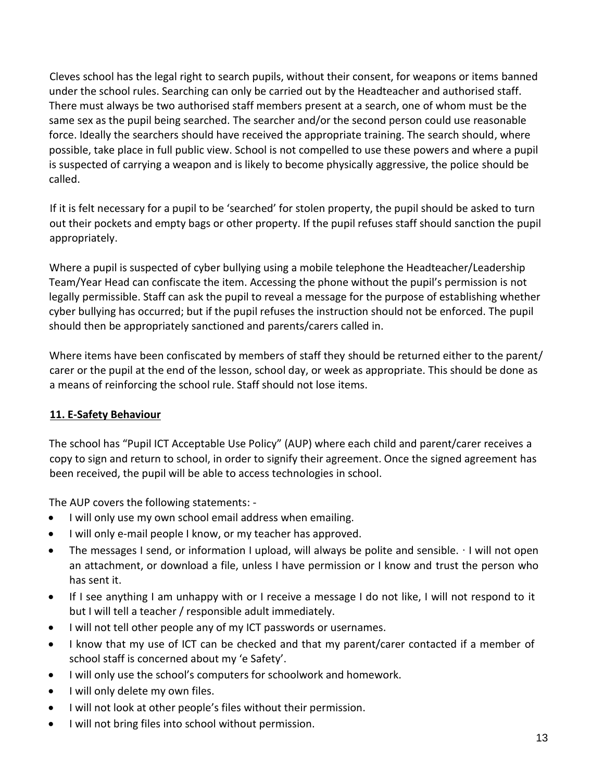Cleves school has the legal right to search pupils, without their consent, for weapons or items banned under the school rules. Searching can only be carried out by the Headteacher and authorised staff. There must always be two authorised staff members present at a search, one of whom must be the same sex as the pupil being searched. The searcher and/or the second person could use reasonable force. Ideally the searchers should have received the appropriate training. The search should, where possible, take place in full public view. School is not compelled to use these powers and where a pupil is suspected of carrying a weapon and is likely to become physically aggressive, the police should be called.

If it is felt necessary for a pupil to be 'searched' for stolen property, the pupil should be asked to turn out their pockets and empty bags or other property. If the pupil refuses staff should sanction the pupil appropriately.

Where a pupil is suspected of cyber bullying using a mobile telephone the Headteacher/Leadership Team/Year Head can confiscate the item. Accessing the phone without the pupil's permission is not legally permissible. Staff can ask the pupil to reveal a message for the purpose of establishing whether cyber bullying has occurred; but if the pupil refuses the instruction should not be enforced. The pupil should then be appropriately sanctioned and parents/carers called in.

Where items have been confiscated by members of staff they should be returned either to the parent/ carer or the pupil at the end of the lesson, school day, or week as appropriate. This should be done as a means of reinforcing the school rule. Staff should not lose items.

## **11. E-Safety Behaviour**

The school has "Pupil ICT Acceptable Use Policy" (AUP) where each child and parent/carer receives a copy to sign and return to school, in order to signify their agreement. Once the signed agreement has been received, the pupil will be able to access technologies in school.

The AUP covers the following statements: -

- I will only use my own school email address when emailing.
- I will only e-mail people I know, or my teacher has approved.
- The messages I send, or information I upload, will always be polite and sensible. ∙ I will not open an attachment, or download a file, unless I have permission or I know and trust the person who has sent it.
- If I see anything I am unhappy with or I receive a message I do not like, I will not respond to it but I will tell a teacher / responsible adult immediately.
- I will not tell other people any of my ICT passwords or usernames.
- I know that my use of ICT can be checked and that my parent/carer contacted if a member of school staff is concerned about my 'e Safety'.
- I will only use the school's computers for schoolwork and homework.
- I will only delete my own files.
- I will not look at other people's files without their permission.
- I will not bring files into school without permission.